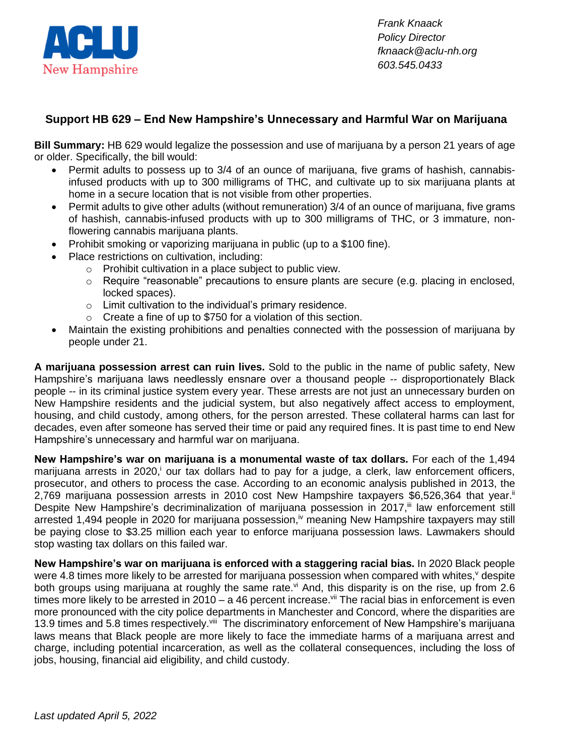

*Frank Knaack Policy Director fknaack@aclu-nh.org 603.545.0433*

## **Support HB 629 – End New Hampshire's Unnecessary and Harmful War on Marijuana**

**Bill Summary:** HB 629 would legalize the possession and use of marijuana by a person 21 years of age or older. Specifically, the bill would:

- Permit adults to possess up to 3/4 of an ounce of marijuana, five grams of hashish, cannabisinfused products with up to 300 milligrams of THC, and cultivate up to six marijuana plants at home in a secure location that is not visible from other properties.
- Permit adults to give other adults (without remuneration) 3/4 of an ounce of marijuana, five grams of hashish, cannabis-infused products with up to 300 milligrams of THC, or 3 immature, nonflowering cannabis marijuana plants.
- Prohibit smoking or vaporizing marijuana in public (up to a \$100 fine).
- Place restrictions on cultivation, including:
	- o Prohibit cultivation in a place subject to public view.
	- $\circ$  Require "reasonable" precautions to ensure plants are secure (e.g. placing in enclosed, locked spaces).
	- $\circ$  Limit cultivation to the individual's primary residence.
	- $\circ$  Create a fine of up to \$750 for a violation of this section.
- Maintain the existing prohibitions and penalties connected with the possession of marijuana by people under 21.

**A marijuana possession arrest can ruin lives.** Sold to the public in the name of public safety, New Hampshire's marijuana laws needlessly ensnare over a thousand people -- disproportionately Black people -- in its criminal justice system every year. These arrests are not just an unnecessary burden on New Hampshire residents and the judicial system, but also negatively affect access to employment, housing, and child custody, among others, for the person arrested. These collateral harms can last for decades, even after someone has served their time or paid any required fines. It is past time to end New Hampshire's unnecessary and harmful war on marijuana.

**New Hampshire's war on marijuana is a monumental waste of tax dollars.** For each of the 1,494 marijuana arrests in 2020,<sup>i</sup> our tax dollars had to pay for a judge, a clerk, law enforcement officers, prosecutor, and others to process the case. According to an economic analysis published in 2013, the 2,769 marijuana possession arrests in 2010 cost New Hampshire taxpayers \$6,526,364 that year.<sup>ii</sup> Despite New Hampshire's decriminalization of marijuana possession in 2017,<sup>iii</sup> law enforcement still arrested 1,494 people in 2020 for marijuana possession,<sup>iv</sup> meaning New Hampshire taxpayers may still be paying close to \$3.25 million each year to enforce marijuana possession laws. Lawmakers should stop wasting tax dollars on this failed war.

**New Hampshire's war on marijuana is enforced with a staggering racial bias.** In 2020 Black people were 4.8 times more likely to be arrested for marijuana possession when compared with whites, v despite both groups using marijuana at roughly the same rate.<sup>vi</sup> And, this disparity is on the rise, up from 2.6 times more likely to be arrested in 2010 – a 46 percent increase.<sup>vii</sup> The racial bias in enforcement is even more pronounced with the city police departments in Manchester and Concord, where the disparities are 13.9 times and 5.8 times respectively.<sup>viii</sup> The discriminatory enforcement of New Hampshire's marijuana laws means that Black people are more likely to face the immediate harms of a marijuana arrest and charge, including potential incarceration, as well as the collateral consequences, including the loss of jobs, housing, financial aid eligibility, and child custody.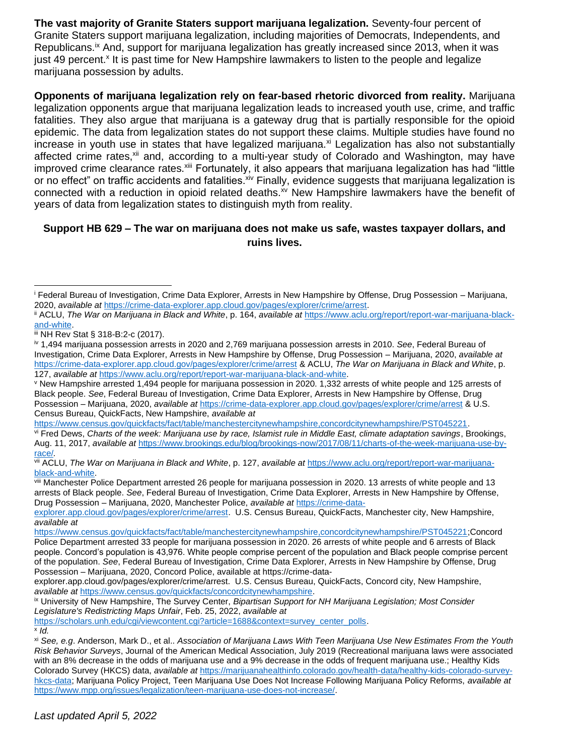**The vast majority of Granite Staters support marijuana legalization.** Seventy-four percent of Granite Staters support marijuana legalization, including majorities of Democrats, Independents, and Republicans.<sup>ix</sup> And, support for marijuana legalization has greatly increased since 2013, when it was just 49 percent.<sup>x</sup> It is past time for New Hampshire lawmakers to listen to the people and legalize marijuana possession by adults.

**Opponents of marijuana legalization rely on fear-based rhetoric divorced from reality.** Marijuana legalization opponents argue that marijuana legalization leads to increased youth use, crime, and traffic fatalities. They also argue that marijuana is a gateway drug that is partially responsible for the opioid epidemic. The data from legalization states do not support these claims. Multiple studies have found no increase in youth use in states that have legalized marijuana.<sup>xi</sup> Legalization has also not substantially affected crime rates,<sup>xii</sup> and, according to a multi-year study of Colorado and Washington, may have improved crime clearance rates.<sup>xiii</sup> Fortunately, it also appears that marijuana legalization has had "little or no effect" on traffic accidents and fatalities.<sup>xiv</sup> Finally, evidence suggests that marijuana legalization is connected with a reduction in opioid related deaths.<sup>xv</sup> New Hampshire lawmakers have the benefit of years of data from legalization states to distinguish myth from reality.

## **Support HB 629 – The war on marijuana does not make us safe, wastes taxpayer dollars, and ruins lives.**

[https://scholars.unh.edu/cgi/viewcontent.cgi?article=1688&context=survey\\_center\\_polls.](https://scholars.unh.edu/cgi/viewcontent.cgi?article=1688&context=survey_center_polls) x *Id.*

<sup>i</sup> Federal Bureau of Investigation, Crime Data Explorer, Arrests in New Hampshire by Offense, Drug Possession – Marijuana, 2020, *available at* [https://crime-data-explorer.app.cloud.gov/pages/explorer/crime/arrest.](https://crime-data-explorer.app.cloud.gov/pages/explorer/crime/arrest)

ii ACLU, *The War on Marijuana in Black and White*, p. 164, *available at* [https://www.aclu.org/report/report-war-marijuana-black](https://www.aclu.org/report/report-war-marijuana-black-and-white)[and-white.](https://www.aclu.org/report/report-war-marijuana-black-and-white)

iii NH Rev Stat § 318-B:2-c (2017).

iv 1,494 marijuana possession arrests in 2020 and 2,769 marijuana possession arrests in 2010. *See*, Federal Bureau of Investigation, Crime Data Explorer, Arrests in New Hampshire by Offense, Drug Possession – Marijuana, 2020, *available at* <https://crime-data-explorer.app.cloud.gov/pages/explorer/crime/arrest> & ACLU, *The War on Marijuana in Black and White*, p. 127, *available at* [https://www.aclu.org/report/report-war-marijuana-black-and-white.](https://www.aclu.org/report/report-war-marijuana-black-and-white)

<sup>v</sup> New Hampshire arrested 1,494 people for marijuana possession in 2020. 1,332 arrests of white people and 125 arrests of Black people. *See*, Federal Bureau of Investigation, Crime Data Explorer, Arrests in New Hampshire by Offense, Drug Possession – Marijuana, 2020, *available at* <https://crime-data-explorer.app.cloud.gov/pages/explorer/crime/arrest> & U.S. Census Bureau, QuickFacts, New Hampshire, *available at* 

[https://www.census.gov/quickfacts/fact/table/manchestercitynewhampshire,concordcitynewhampshire/PST045221.](https://www.census.gov/quickfacts/fact/table/manchestercitynewhampshire,concordcitynewhampshire/PST045221)

vi Fred Dews, *Charts of the week: Marijuana use by race, Islamist rule in Middle East, climate adaptation savings*, Brookings, Aug. 11, 2017, *available at* [https://www.brookings.edu/blog/brookings-now/2017/08/11/charts-of-the-week-marijuana-use-by](https://www.brookings.edu/blog/brookings-now/2017/08/11/charts-of-the-week-marijuana-use-by-race/)[race/](https://www.brookings.edu/blog/brookings-now/2017/08/11/charts-of-the-week-marijuana-use-by-race/)*.* 

vii ACLU, *The War on Marijuana in Black and White*, p. 127, *available at* [https://www.aclu.org/report/report-war-marijuana](https://www.aclu.org/report/report-war-marijuana-black-and-white)[black-and-white.](https://www.aclu.org/report/report-war-marijuana-black-and-white)

viii Manchester Police Department arrested 26 people for marijuana possession in 2020. 13 arrests of white people and 13 arrests of Black people. *See*, Federal Bureau of Investigation, Crime Data Explorer, Arrests in New Hampshire by Offense, Drug Possession – Marijuana, 2020, Manchester Police, *available at* [https://crime-data-](https://crime-data-explorer.app.cloud.gov/pages/explorer/crime/arrest)

[explorer.app.cloud.gov/pages/explorer/crime/arrest.](https://crime-data-explorer.app.cloud.gov/pages/explorer/crime/arrest) U.S. Census Bureau, QuickFacts, Manchester city, New Hampshire, *available at* 

[https://www.census.gov/quickfacts/fact/table/manchestercitynewhampshire,concordcitynewhampshire/PST045221;](https://www.census.gov/quickfacts/fact/table/manchestercitynewhampshire,concordcitynewhampshire/PST045221)Concord Police Department arrested 33 people for marijuana possession in 2020. 26 arrests of white people and 6 arrests of Black people. Concord's population is 43,976. White people comprise percent of the population and Black people comprise percent of the population. *See*, Federal Bureau of Investigation, Crime Data Explorer, Arrests in New Hampshire by Offense, Drug Possession – Marijuana, 2020, Concord Police, available at https://crime-data-

explorer.app.cloud.gov/pages/explorer/crime/arrest. U.S. Census Bureau, QuickFacts, Concord city, New Hampshire, *available at* [https://www.census.gov/quickfacts/concordcitynewhampshire.](https://www.census.gov/quickfacts/concordcitynewhampshire)

ix University of New Hampshire, The Survey Center, *Bipartisan Support for NH Marijuana Legislation; Most Consider Legislature's Redistricting Maps Unfair*, Feb. 25, 2022, *available at*

xi *See, e.g*. Anderson, Mark D., et al.. *Association of Marijuana Laws With Teen Marijuana Use New Estimates From the Youth Risk Behavior Surveys*, Journal of the American Medical Association, July 2019 (Recreational marijuana laws were associated with an 8% decrease in the odds of marijuana use and a 9% decrease in the odds of frequent marijuana use.; Healthy Kids Colorado Survey (HKCS) data, *available at* [https://marijuanahealthinfo.colorado.gov/health-data/healthy-kids-colorado-survey](https://marijuanahealthinfo.colorado.gov/health-data/healthy-kids-colorado-survey-hkcs-data)[hkcs-data;](https://marijuanahealthinfo.colorado.gov/health-data/healthy-kids-colorado-survey-hkcs-data) Marijuana Policy Project, Teen Marijuana Use Does Not Increase Following Marijuana Policy Reforms, *available at*  [https://www.mpp.org/issues/legalization/teen-marijuana-use-does-not-increase/.](https://www.mpp.org/issues/legalization/teen-marijuana-use-does-not-increase/)